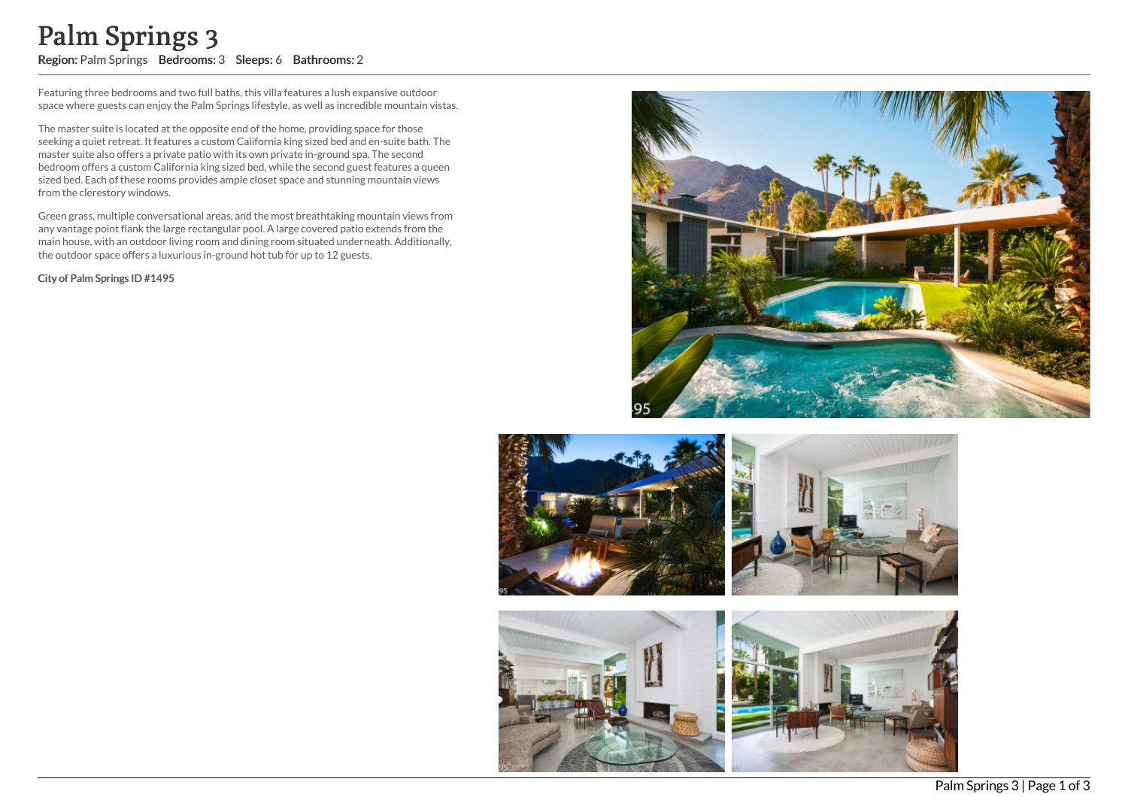## Palm Springs 3 Region: Palm Springs Bedrooms: 3 Sleeps: 6 Bathrooms: 2

Featuring three bedrooms and two full baths, this villa features a lush expansive outdoor space where guests can enjoy the Palm Springs lifestyle, as well as incredible mountain vistas.

The master suite is located at the opposite end of the home, providing space for those seeking a quiet retreat. It features a custom California king sized bed and en-suite bath. The master suite also offers a private patio with its own private in-ground spa. The second bedroom offers a custom California king sized bed, while the second guest features a queen sized bed. Each of these rooms provides ample closet space and stunning mountain views from the clerestory windows.

Green grass, multiple conversational areas, and the most breathtaking mountain views from any vantage point flank the large rectangular pool. A large covered patio extends from the main house, with an outdoor living room and dining room situated underneath. Additionally, the outdoor space offers a luxurious in-ground hot tub for up to 12 guests.

City of Palm Springs ID #1495



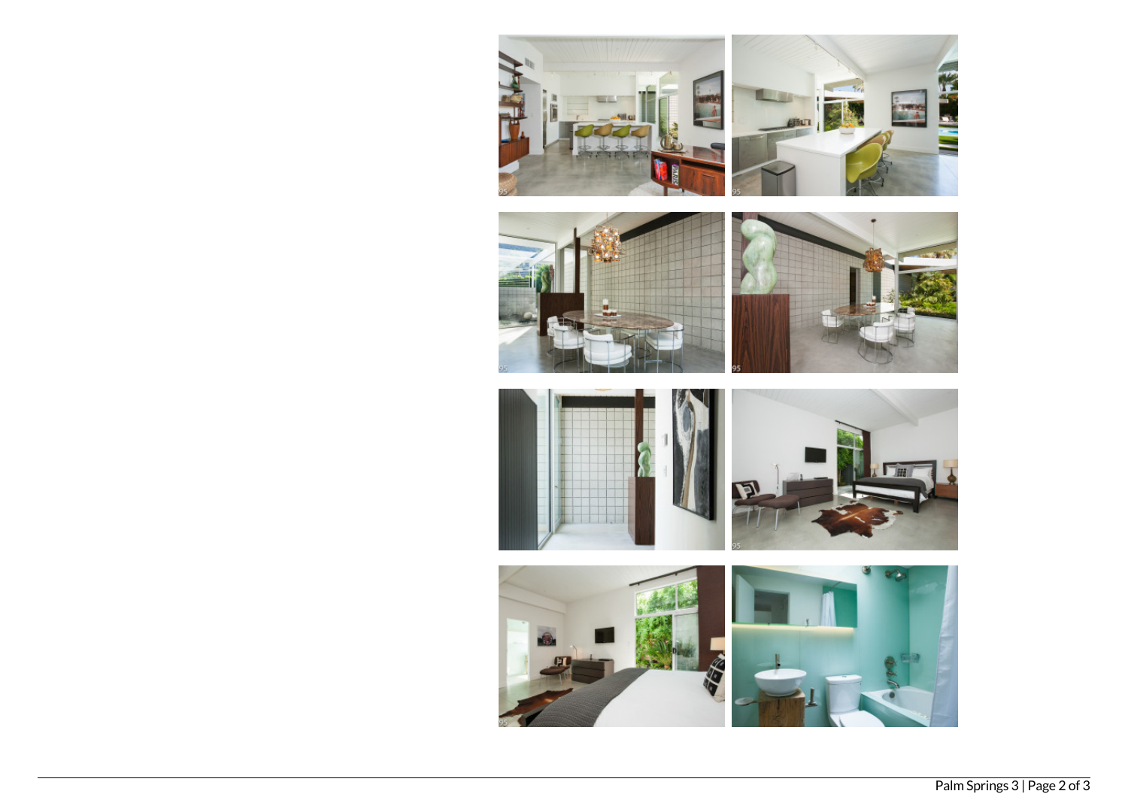